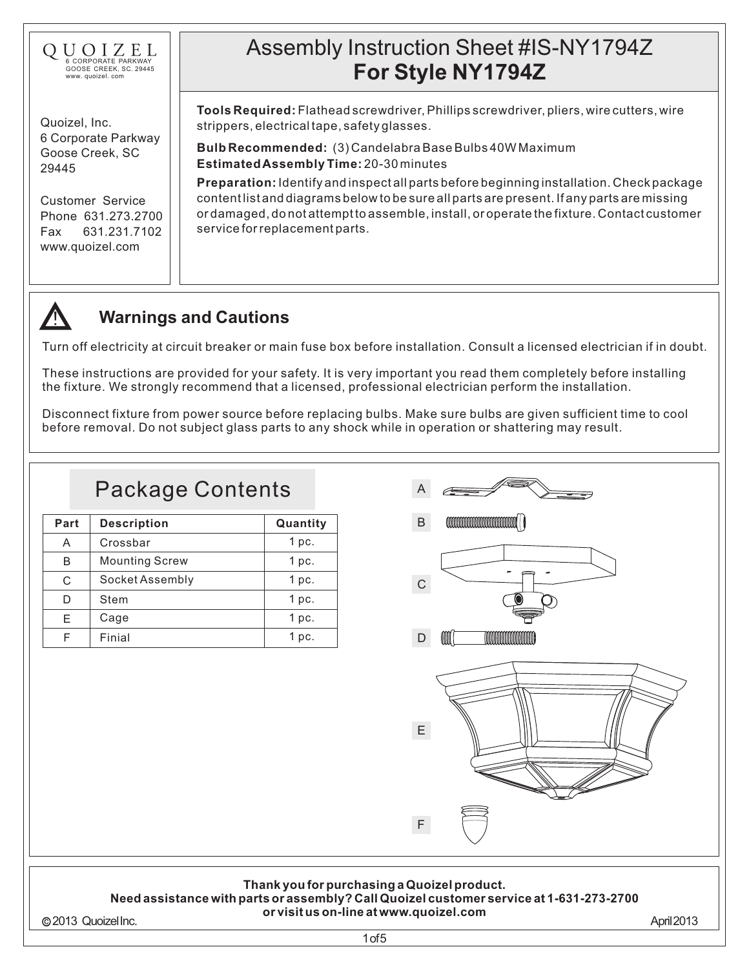

Quoizel, Inc. 6 Corporate Parkway Goose Creek, SC 29445

Customer Service Phone 631.273.2700 Fax 631.231.7102 www.quoizel.com

# Assembly Instruction Sheet #IS-NY1794Z **For Style NY1794Z**

**Tools Required:** Flathead screwdriver, Phillips screwdriver, pliers, wire cutters, wire strippers, electrical tape, safety glasses.

**EstimatedAssembly Time:** 20-30 minutes **Bulb Recommended:** (3) Candelabra Base Bulbs 40W Maximum

**Preparation:** Identify and inspect all parts before beginning installation. Check package content list and diagrams below to be sure all parts are present. If any parts are missing or damaged, do not attempt to assemble, install, or operate the fixture. Contact customer service for replacement parts.



### **Warnings and Cautions**

Turn off electricity at circuit breaker or main fuse box before installation. Consult a licensed electrician if in doubt.

These instructions are provided for your safety. It is very important you read them completely before installing the fixture. We strongly recommend that a licensed, professional electrician perform the installation.

Disconnect fixture from power source before replacing bulbs. Make sure bulbs are given sufficient time to cool before removal. Do not subject glass parts to any shock while in operation or shattering may result.

# Package Contents

| Part | <b>Description</b>    | Quantity         |
|------|-----------------------|------------------|
| А    | Crossbar              | 1~pc.            |
| B    | <b>Mounting Screw</b> | 1 pc.            |
| C    | Socket Assembly       | 1 pc.            |
|      | Stem                  | 1 <sub>pc.</sub> |
| F.   | Cage                  | 1 pc.            |
|      | Finial                | 1 pc.            |





**Thank you for purchasing a Quoizel product.**

#### **Need assistance with parts or assembly? Call Quoizel customer service at 1-631-273-2700 or visit us on-line at www.quoizel.com**

2013 QuoizelInc.

1of5

April2013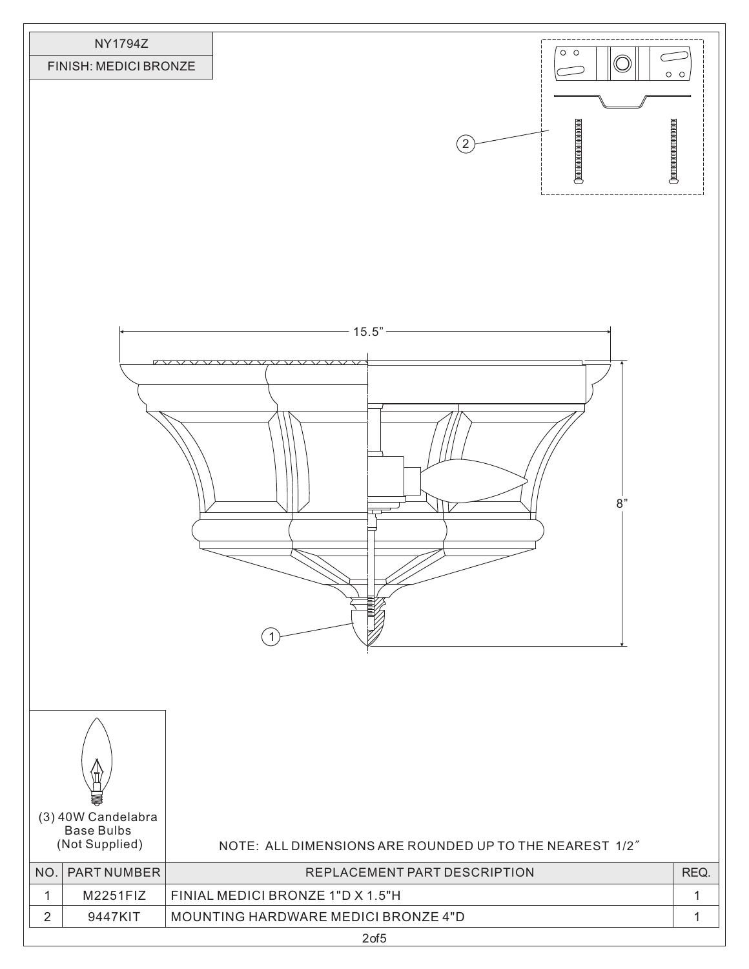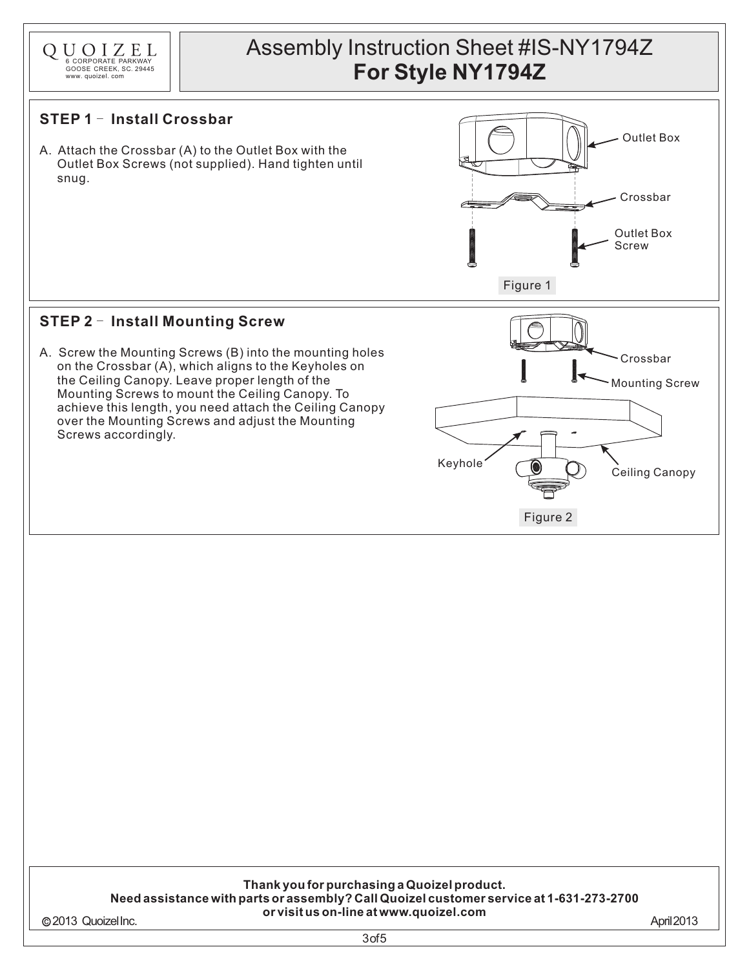

### Assembly Instruction Sheet #IS-NY1794Z **For Style NY1794Z**

Keyhole

#### **STEP 1 - Install Crossbar**

A. Attach the Crossbar (A) to the Outlet Box with the Outlet Box Screws (not supplied). Hand tighten until snug.



Mounting Screw

Ceiling Canopy

Crossbar

Figure 2

### **STEP 2 - Install Mounting Screw**

A. Screw the Mounting Screws (B) into the mounting holes on the Crossbar (A), which aligns to the Keyholes on the Ceiling Canopy. Leave proper length of the Mounting Screws to mount the Ceiling Canopy. To achieve this length, you need attach the Ceiling Canopy over the Mounting Screws and adjust the Mounting Screws accordingly.

> **Thank you for purchasing a Quoizel product. Need assistance with parts or assembly? Call Quoizel customer service at 1-631-273-2700 or visit us on-line at www.quoizel.com**

2013 QuoizelInc.

April2013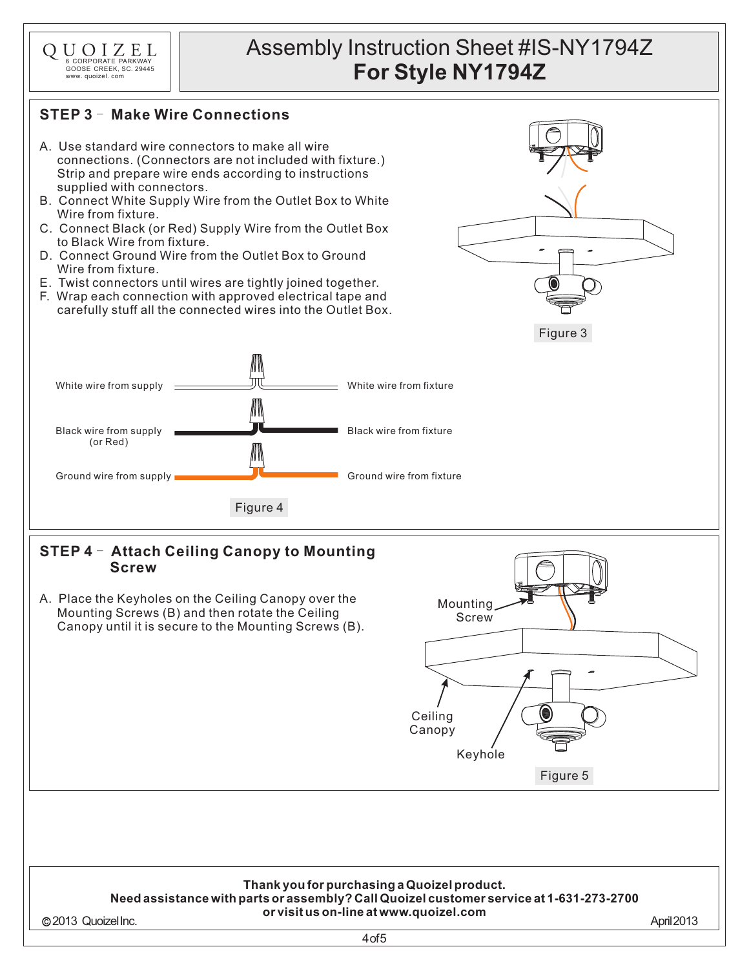

## Assembly Instruction Sheet #IS-NY1794Z **For Style NY1794Z**

### **STEP 3 - Make Wire Connections**

- A. Use standard wire connectors to make all wire connections. (Connectors are not included with fixture.) Strip and prepare wire ends according to instructions supplied with connectors.
- B. Connect White Supply Wire from the Outlet Box to White Wire from fixture.
- C. Connect Black (or Red) Supply Wire from the Outlet Box to Black Wire from fixture.
- D. Connect Ground Wire from the Outlet Box to Ground Wire from fixture.
- E. Twist connectors until wires are tightly joined together.
- F. Wrap each connection with approved electrical tape and carefully stuff all the connected wires into the Outlet Box.





#### **STEP 4** - **Attach Ceiling Canopy to Mounting Screw**

A. Place the Keyholes on the Ceiling Canopy over the Mounting Screws (B) and then rotate the Ceiling Canopy until it is secure to the Mounting Screws (B).



#### **Thank you for purchasing a Quoizel product. Need assistance with parts or assembly? Call Quoizel customer service at 1-631-273-2700 or visit us on-line at www.quoizel.com** 2013 QuoizelInc. April2013